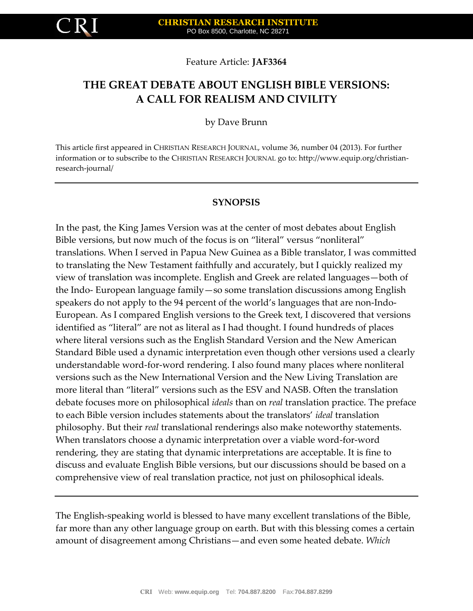Feature Article: **JAF3364**

# **THE GREAT DEBATE ABOUT ENGLISH BIBLE VERSIONS: A CALL FOR REALISM AND CIVILITY**

by Dave Brunn

This article first appeared in CHRISTIAN RESEARCH JOURNAL, volume 36, number 04 (2013). For further information or to subscribe to the CHRISTIAN RESEARCH JOURNAL go to: http://www.equip.org/christianresearch-journal/

#### **SYNOPSIS**

In the past, the King James Version was at the center of most debates about English Bible versions, but now much of the focus is on "literal" versus "nonliteral" translations. When I served in Papua New Guinea as a Bible translator, I was committed to translating the New Testament faithfully and accurately, but I quickly realized my view of translation was incomplete. English and Greek are related languages—both of the Indo- European language family—so some translation discussions among English speakers do not apply to the 94 percent of the world's languages that are non-Indo-European. As I compared English versions to the Greek text, I discovered that versions identified as "literal" are not as literal as I had thought. I found hundreds of places where literal versions such as the English Standard Version and the New American Standard Bible used a dynamic interpretation even though other versions used a clearly understandable word-for-word rendering. I also found many places where nonliteral versions such as the New International Version and the New Living Translation are more literal than "literal" versions such as the ESV and NASB. Often the translation debate focuses more on philosophical *ideals* than on *real* translation practice. The preface to each Bible version includes statements about the translators' *ideal* translation philosophy. But their *real* translational renderings also make noteworthy statements. When translators choose a dynamic interpretation over a viable word-for-word rendering, they are stating that dynamic interpretations are acceptable. It is fine to discuss and evaluate English Bible versions, but our discussions should be based on a comprehensive view of real translation practice, not just on philosophical ideals.

The English-speaking world is blessed to have many excellent translations of the Bible, far more than any other language group on earth. But with this blessing comes a certain amount of disagreement among Christians—and even some heated debate. *Which*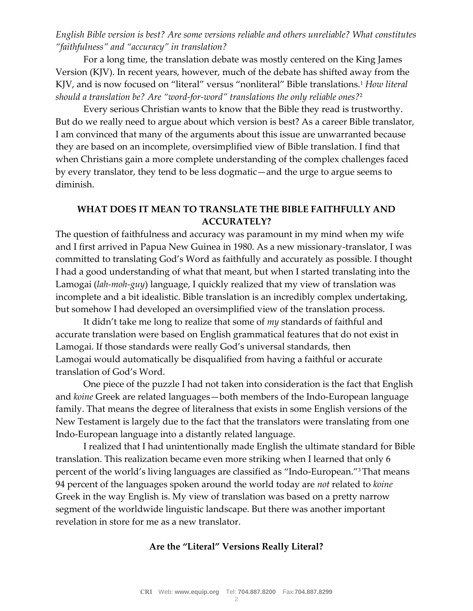*English Bible version is best? Are some versions reliable and others unreliable? What constitutes "faithfulness" and "accuracy" in translation?*

For a long time, the translation debate was mostly centered on the King James Version (KJV). In recent years, however, much of the debate has shifted away from the KJV, and is now focused on "literal" versus "nonliteral" Bible translations.<sup>1</sup> *How literal should a translation be? Are "word-for-word" translations the only reliable ones?*<sup>2</sup>

Every serious Christian wants to know that the Bible they read is trustworthy. But do we really need to argue about which version is best? As a career Bible translator, I am convinced that many of the arguments about this issue are unwarranted because they are based on an incomplete, oversimplified view of Bible translation. I find that when Christians gain a more complete understanding of the complex challenges faced by every translator, they tend to be less dogmatic—and the urge to argue seems to diminish.

## **WHAT DOES IT MEAN TO TRANSLATE THE BIBLE FAITHFULLY AND ACCURATELY?**

The question of faithfulness and accuracy was paramount in my mind when my wife and I first arrived in Papua New Guinea in 1980. As a new missionary-translator, I was committed to translating God's Word as faithfully and accurately as possible. I thought I had a good understanding of what that meant, but when I started translating into the Lamogai (*lah-moh-guy*) language, I quickly realized that my view of translation was incomplete and a bit idealistic. Bible translation is an incredibly complex undertaking, but somehow I had developed an oversimplified view of the translation process.

It didn't take me long to realize that some of *my* standards of faithful and accurate translation were based on English grammatical features that do not exist in Lamogai. If those standards were really God's universal standards, then Lamogai would automatically be disqualified from having a faithful or accurate translation of God's Word.

One piece of the puzzle I had not taken into consideration is the fact that English and *koine* Greek are related languages—both members of the Indo-European language family. That means the degree of literalness that exists in some English versions of the New Testament is largely due to the fact that the translators were translating from one Indo-European language into a distantly related language.

I realized that I had unintentionally made English the ultimate standard for Bible translation. This realization became even more striking when I learned that only 6 percent of the world's living languages are classified as "Indo-European."3 That means 94 percent of the languages spoken around the world today are *not* related to *koine* Greek in the way English is. My view of translation was based on a pretty narrow segment of the worldwide linguistic landscape. But there was another important revelation in store for me as a new translator.

### **Are the "Literal" Versions Really Literal?**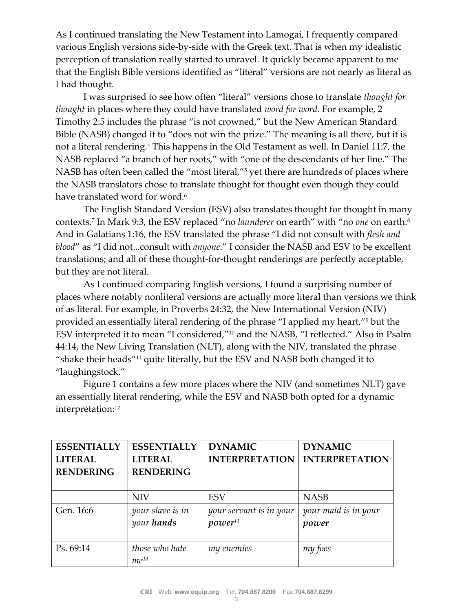As I continued translating the New Testament into Lamogai, I frequently compared various English versions side-by-side with the Greek text. That is when my idealistic perception of translation really started to unravel. It quickly became apparent to me that the English Bible versions identified as "literal" versions are not nearly as literal as I had thought.

I was surprised to see how often "literal" versions chose to translate *thought for thought* in places where they could have translated *word for word*. For example, 2 Timothy 2:5 includes the phrase "is not crowned," but the New American Standard Bible (NASB) changed it to "does not win the prize." The meaning is all there, but it is not a literal rendering.<sup>4</sup> This happens in the Old Testament as well. In Daniel 11:7, the NASB replaced "a branch of her roots," with "one of the descendants of her line." The NASB has often been called the "most literal,"<sup>5</sup> yet there are hundreds of places where the NASB translators chose to translate thought for thought even though they could have translated word for word.<sup>6</sup>

The English Standard Version (ESV) also translates thought for thought in many contexts.<sup>7</sup> In Mark 9:3, the ESV replaced "no *launderer* on earth" with "no *one* on earth.<sup>8</sup> And in Galatians 1:16, the ESV translated the phrase "I did not consult with *flesh and blood*" as "I did not...consult with *anyone*." I consider the NASB and ESV to be excellent translations; and all of these thought-for-thought renderings are perfectly acceptable, but they are not literal.

As I continued comparing English versions, I found a surprising number of places where notably nonliteral versions are actually more literal than versions we think of as literal. For example, in Proverbs 24:32, the New International Version (NIV) provided an essentially literal rendering of the phrase "I applied my heart,"<sup>9</sup> but the ESV interpreted it to mean "I considered,"<sup>10</sup> and the NASB, "I reflected." Also in Psalm 44:14, the New Living Translation (NLT), along with the NIV, translated the phrase "shake their heads"<sup>11</sup> quite literally, but the ESV and NASB both changed it to "laughingstock."

Figure 1 contains a few more places where the NIV (and sometimes NLT) gave an essentially literal rendering, while the ESV and NASB both opted for a dynamic interpretation:<sup>12</sup>

| <b>ESSENTIALLY</b> | <b>ESSENTIALLY</b> | <b>DYNAMIC</b>          | <b>DYNAMIC</b>        |
|--------------------|--------------------|-------------------------|-----------------------|
| <b>LITERAL</b>     | <b>LITERAL</b>     | <b>INTERPRETATION</b>   | <b>INTERPRETATION</b> |
| <b>RENDERING</b>   | <b>RENDERING</b>   |                         |                       |
|                    |                    |                         |                       |
|                    | <b>NIV</b>         | <b>ESV</b>              | <b>NASB</b>           |
| Gen. 16:6          | your slave is in   | your servant is in your | your maid is in your  |
|                    | your hands         | $power^{13}$            | power                 |
|                    |                    |                         |                       |
| Ps. 69:14          | those who hate     | my enemies              | my foes               |
|                    | $me^{14}$          |                         |                       |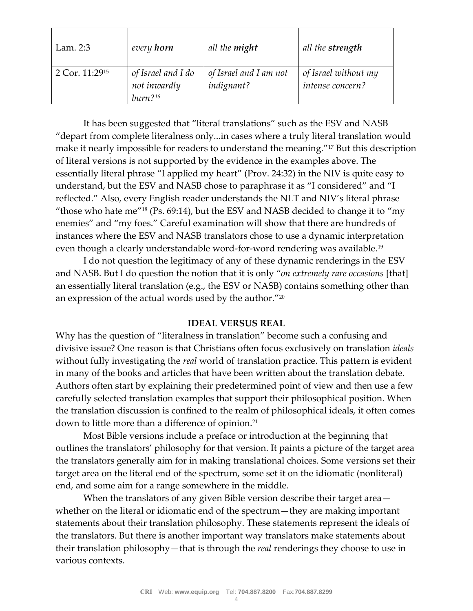| Lam. 2:3                   | every horn          | all the <b>might</b>   | all the strength     |
|----------------------------|---------------------|------------------------|----------------------|
|                            |                     |                        |                      |
| 2 Cor. 11:29 <sup>15</sup> | of Israel and I do  | of Israel and I am not | of Israel without my |
|                            | not inwardly        | indignant?             | intense concern?     |
|                            | burn <sup>216</sup> |                        |                      |

It has been suggested that "literal translations" such as the ESV and NASB "depart from complete literalness only...in cases where a truly literal translation would make it nearly impossible for readers to understand the meaning."<sup>17</sup> But this description of literal versions is not supported by the evidence in the examples above. The essentially literal phrase "I applied my heart" (Prov. 24:32) in the NIV is quite easy to understand, but the ESV and NASB chose to paraphrase it as "I considered" and "I reflected." Also, every English reader understands the NLT and NIV's literal phrase "those who hate me"<sup>18</sup> (Ps. 69:14), but the ESV and NASB decided to change it to "my" enemies" and "my foes." Careful examination will show that there are hundreds of instances where the ESV and NASB translators chose to use a dynamic interpretation even though a clearly understandable word-for-word rendering was available.<sup>19</sup>

I do not question the legitimacy of any of these dynamic renderings in the ESV and NASB. But I do question the notion that it is only "*on extremely rare occasions* [that] an essentially literal translation (e.g., the ESV or NASB) contains something other than an expression of the actual words used by the author."<sup>20</sup>

### **IDEAL VERSUS REAL**

Why has the question of "literalness in translation" become such a confusing and divisive issue? One reason is that Christians often focus exclusively on translation *ideals* without fully investigating the *real* world of translation practice. This pattern is evident in many of the books and articles that have been written about the translation debate. Authors often start by explaining their predetermined point of view and then use a few carefully selected translation examples that support their philosophical position. When the translation discussion is confined to the realm of philosophical ideals, it often comes down to little more than a difference of opinion.<sup>21</sup>

Most Bible versions include a preface or introduction at the beginning that outlines the translators' philosophy for that version. It paints a picture of the target area the translators generally aim for in making translational choices. Some versions set their target area on the literal end of the spectrum, some set it on the idiomatic (nonliteral) end, and some aim for a range somewhere in the middle.

When the translators of any given Bible version describe their target area – whether on the literal or idiomatic end of the spectrum—they are making important statements about their translation philosophy. These statements represent the ideals of the translators. But there is another important way translators make statements about their translation philosophy—that is through the *real* renderings they choose to use in various contexts.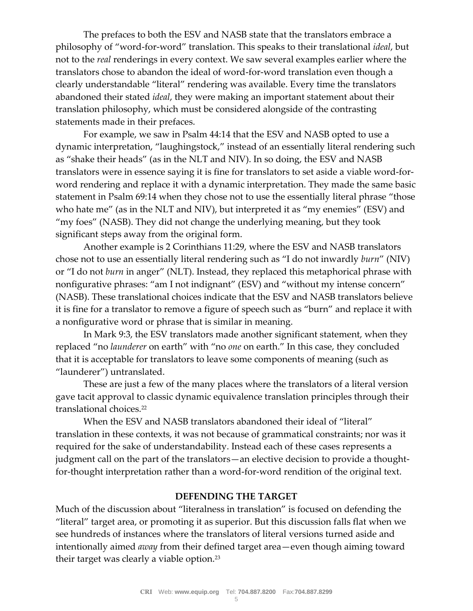The prefaces to both the ESV and NASB state that the translators embrace a philosophy of "word-for-word" translation. This speaks to their translational *ideal*, but not to the *real* renderings in every context. We saw several examples earlier where the translators chose to abandon the ideal of word-for-word translation even though a clearly understandable "literal" rendering was available. Every time the translators abandoned their stated *ideal*, they were making an important statement about their translation philosophy, which must be considered alongside of the contrasting statements made in their prefaces.

For example, we saw in Psalm 44:14 that the ESV and NASB opted to use a dynamic interpretation, "laughingstock," instead of an essentially literal rendering such as "shake their heads" (as in the NLT and NIV). In so doing, the ESV and NASB translators were in essence saying it is fine for translators to set aside a viable word-forword rendering and replace it with a dynamic interpretation. They made the same basic statement in Psalm 69:14 when they chose not to use the essentially literal phrase "those who hate me" (as in the NLT and NIV), but interpreted it as "my enemies" (ESV) and "my foes" (NASB). They did not change the underlying meaning, but they took significant steps away from the original form.

Another example is 2 Corinthians 11:29, where the ESV and NASB translators chose not to use an essentially literal rendering such as "I do not inwardly *burn*" (NIV) or "I do not *burn* in anger" (NLT). Instead, they replaced this metaphorical phrase with nonfigurative phrases: "am I not indignant" (ESV) and "without my intense concern" (NASB). These translational choices indicate that the ESV and NASB translators believe it is fine for a translator to remove a figure of speech such as "burn" and replace it with a nonfigurative word or phrase that is similar in meaning.

In Mark 9:3, the ESV translators made another significant statement, when they replaced "no *launderer* on earth" with "no *one* on earth." In this case, they concluded that it is acceptable for translators to leave some components of meaning (such as "launderer") untranslated.

These are just a few of the many places where the translators of a literal version gave tacit approval to classic dynamic equivalence translation principles through their translational choices.<sup>22</sup>

When the ESV and NASB translators abandoned their ideal of "literal" translation in these contexts, it was not because of grammatical constraints; nor was it required for the sake of understandability. Instead each of these cases represents a judgment call on the part of the translators—an elective decision to provide a thoughtfor-thought interpretation rather than a word-for-word rendition of the original text.

### **DEFENDING THE TARGET**

Much of the discussion about "literalness in translation" is focused on defending the "literal" target area, or promoting it as superior. But this discussion falls flat when we see hundreds of instances where the translators of literal versions turned aside and intentionally aimed *away* from their defined target area—even though aiming toward their target was clearly a viable option.<sup>23</sup>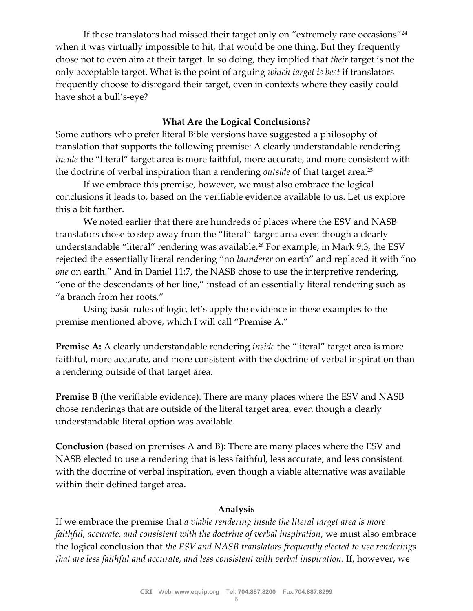If these translators had missed their target only on "extremely rare occasions"<sup>24</sup> when it was virtually impossible to hit, that would be one thing. But they frequently chose not to even aim at their target. In so doing, they implied that *their* target is not the only acceptable target. What is the point of arguing *which target is best* if translators frequently choose to disregard their target, even in contexts where they easily could have shot a bull's-eye?

#### **What Are the Logical Conclusions?**

Some authors who prefer literal Bible versions have suggested a philosophy of translation that supports the following premise: A clearly understandable rendering *inside* the "literal" target area is more faithful, more accurate, and more consistent with the doctrine of verbal inspiration than a rendering *outside* of that target area.<sup>25</sup>

If we embrace this premise, however, we must also embrace the logical conclusions it leads to, based on the verifiable evidence available to us. Let us explore this a bit further.

We noted earlier that there are hundreds of places where the ESV and NASB translators chose to step away from the "literal" target area even though a clearly understandable "literal" rendering was available.<sup>26</sup> For example, in Mark 9:3, the ESV rejected the essentially literal rendering "no *launderer* on earth" and replaced it with "no *one* on earth." And in Daniel 11:7, the NASB chose to use the interpretive rendering, "one of the descendants of her line," instead of an essentially literal rendering such as "a branch from her roots."

Using basic rules of logic, let's apply the evidence in these examples to the premise mentioned above, which I will call "Premise A."

**Premise A:** A clearly understandable rendering *inside* the "literal" target area is more faithful, more accurate, and more consistent with the doctrine of verbal inspiration than a rendering outside of that target area.

**Premise B** (the verifiable evidence): There are many places where the ESV and NASB chose renderings that are outside of the literal target area, even though a clearly understandable literal option was available.

**Conclusion** (based on premises A and B): There are many places where the ESV and NASB elected to use a rendering that is less faithful, less accurate, and less consistent with the doctrine of verbal inspiration, even though a viable alternative was available within their defined target area.

#### **Analysis**

If we embrace the premise that *a viable rendering inside the literal target area is more*  faithful, accurate, and consistent with the doctrine of verbal inspiration, we must also embrace the logical conclusion that *the ESV and NASB translators frequently elected to use renderings that are less faithful and accurate, and less consistent with verbal inspiration*. If, however, we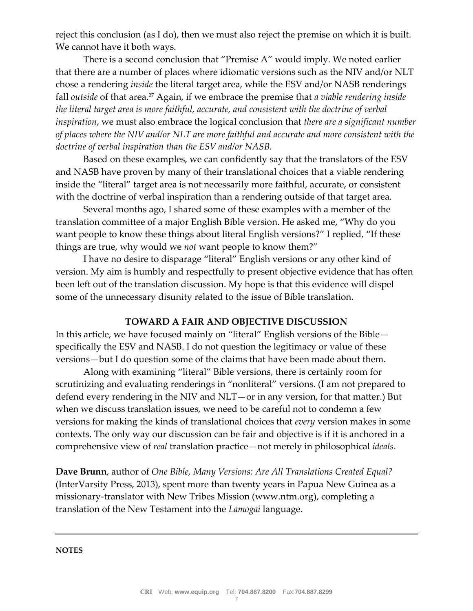reject this conclusion (as I do), then we must also reject the premise on which it is built. We cannot have it both ways.

There is a second conclusion that "Premise A" would imply. We noted earlier that there are a number of places where idiomatic versions such as the NIV and/or NLT chose a rendering *inside* the literal target area, while the ESV and/or NASB renderings fall *outside* of that area.<sup>27</sup> Again, if we embrace the premise that *a viable rendering inside the literal target area is more faithful, accurate, and consistent with the doctrine of verbal inspiration*, we must also embrace the logical conclusion that *there are a significant number of places where the NIV and/or NLT are more faithful and accurate and more consistent with the doctrine of verbal inspiration than the ESV and/or NASB.*

Based on these examples, we can confidently say that the translators of the ESV and NASB have proven by many of their translational choices that a viable rendering inside the "literal" target area is not necessarily more faithful, accurate, or consistent with the doctrine of verbal inspiration than a rendering outside of that target area.

Several months ago, I shared some of these examples with a member of the translation committee of a major English Bible version. He asked me, "Why do you want people to know these things about literal English versions?" I replied, "If these things are true, why would we *not* want people to know them?"

I have no desire to disparage "literal" English versions or any other kind of version. My aim is humbly and respectfully to present objective evidence that has often been left out of the translation discussion. My hope is that this evidence will dispel some of the unnecessary disunity related to the issue of Bible translation.

### **TOWARD A FAIR AND OBJECTIVE DISCUSSION**

In this article, we have focused mainly on "literal" English versions of the Bible specifically the ESV and NASB. I do not question the legitimacy or value of these versions—but I do question some of the claims that have been made about them.

Along with examining "literal" Bible versions, there is certainly room for scrutinizing and evaluating renderings in "nonliteral" versions. (I am not prepared to defend every rendering in the NIV and NLT—or in any version, for that matter.) But when we discuss translation issues, we need to be careful not to condemn a few versions for making the kinds of translational choices that *every* version makes in some contexts. The only way our discussion can be fair and objective is if it is anchored in a comprehensive view of *real* translation practice—not merely in philosophical *ideals*.

**Dave Brunn**, author of *One Bible, Many Versions: Are All Translations Created Equal?* (InterVarsity Press, 2013), spent more than twenty years in Papua New Guinea as a missionary-translator with New Tribes Mission (www.ntm.org), completing a translation of the New Testament into the *Lamogai* language.

**NOTES**